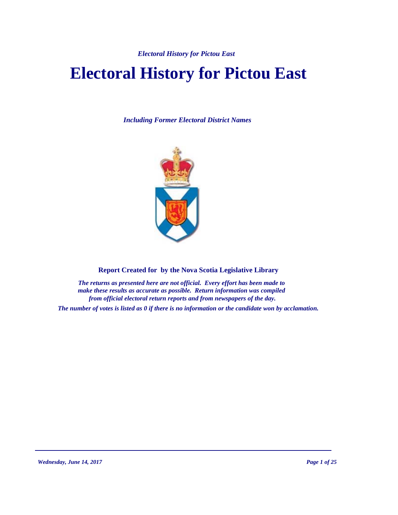# **Electoral History for Pictou East**

*Including Former Electoral District Names*



**Report Created for by the Nova Scotia Legislative Library**

*The returns as presented here are not official. Every effort has been made to make these results as accurate as possible. Return information was compiled from official electoral return reports and from newspapers of the day.*

*The number of votes is listed as 0 if there is no information or the candidate won by acclamation.*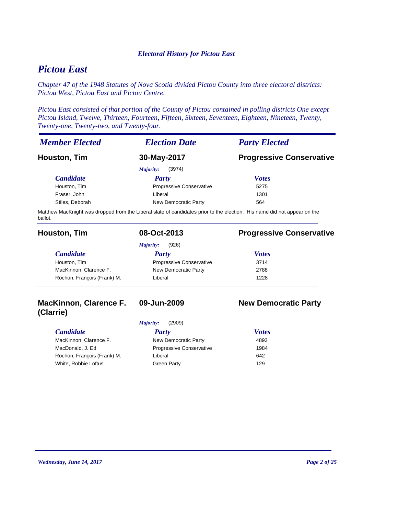## *Pictou East*

*Chapter 47 of the 1948 Statutes of Nova Scotia divided Pictou County into three electoral districts: Pictou West, Pictou East and Pictou Centre.* 

*Pictou East consisted of that portion of the County of Pictou contained in polling districts One except Pictou Island, Twelve, Thirteen, Fourteen, Fifteen, Sixteen, Seventeen, Eighteen, Nineteen, Twenty, Twenty-one, Twenty-two, and Twenty-four.*

| <b>Member Elected</b> | <b>Election Date</b>     | <b>Party Elected</b>            |
|-----------------------|--------------------------|---------------------------------|
| Houston, Tim          | 30-May-2017              | <b>Progressive Conservative</b> |
|                       | (3974)<br>Majority:      |                                 |
| <b>Candidate</b>      | Party                    | <b>Votes</b>                    |
| Houston, Tim          | Progressive Conservative | 5275                            |
| Fraser, John          | Liberal                  | 1301                            |
| Stiles, Deborah       | New Democratic Party     | 564                             |

Matthew MacKnight was dropped from the Liberal slate of candidates prior to the election. His name did not appear on the ballot.

| Houston, Tim                | 08-Oct-2013                     | <b>Progressive Conservative</b> |
|-----------------------------|---------------------------------|---------------------------------|
|                             | (926)<br>Majority:              |                                 |
| <b>Candidate</b>            | Party                           | <b>Votes</b>                    |
| Houston, Tim                | <b>Progressive Conservative</b> | 3714                            |
| MacKinnon, Clarence F.      | New Democratic Party            | 2788                            |
| Rochon, Francois (Frank) M. | Liberal                         | 1228                            |
|                             |                                 |                                 |

## **MacKinnon, Clarence F. (Clarrie)**

## **09-Jun-2009 New Democratic Party**

| (2909)<br>Majority:         |                                 |              |  |
|-----------------------------|---------------------------------|--------------|--|
| <b>Candidate</b>            | Party                           | <b>Votes</b> |  |
| MacKinnon, Clarence F.      | New Democratic Party            | 4893         |  |
| MacDonald, J. Ed            | <b>Progressive Conservative</b> | 1984         |  |
| Rochon, François (Frank) M. | Liberal                         | 642          |  |
| White, Robbie Loftus        | Green Party                     | 129          |  |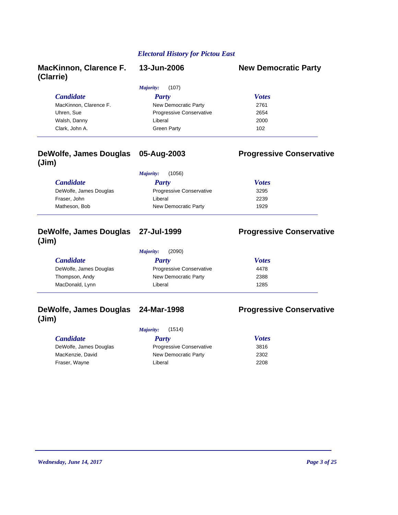| <b>MacKinnon, Clarence F.</b><br>(Clarrie) | 13-Jun-2006              | <b>New Democratic Party</b> |
|--------------------------------------------|--------------------------|-----------------------------|
|                                            | (107)<br>Majority:       |                             |
| <b>Candidate</b>                           | Party                    | <b>Votes</b>                |
| MacKinnon, Clarence F.                     | New Democratic Party     | 2761                        |
| Uhren, Sue                                 | Progressive Conservative | 2654                        |
| Walsh, Danny                               | Liberal                  | 2000                        |
| Clark, John A.                             | Green Party              | 102                         |

#### **DeWolfe, James Douglas (Jim) 05-Aug-2003 Progressive Conservative**

#### *Candidate Party Votes Majority:* (1056) DeWolfe, James Douglas 3295 Progressive Conservative Fraser, John 2239 Matheson, Bob 1929 New Democratic Party 1929

### **DeWolfe, James Douglas (Jim)**

## **Progressive Conservative**

| (2090)<br>Majority:    |                                 |              |  |  |
|------------------------|---------------------------------|--------------|--|--|
| <i>Candidate</i>       | Party                           | <b>Votes</b> |  |  |
| DeWolfe, James Douglas | <b>Progressive Conservative</b> | 4478         |  |  |
| Thompson, Andy         | New Democratic Party            | 2388         |  |  |
| MacDonald, Lynn        | Liberal                         | 1285         |  |  |

## **DeWolfe, James Douglas (Jim)**

*Majority:* (1514)

| <b>Candidate</b>       | Party                           | <b>Votes</b> |
|------------------------|---------------------------------|--------------|
| DeWolfe, James Douglas | <b>Progressive Conservative</b> | 3816         |
| MacKenzie, David       | New Democratic Party            | 2302         |
| Fraser, Wayne          | Liberal                         | 2208         |
|                        |                                 |              |

## **24-Mar-1998 Progressive Conservative**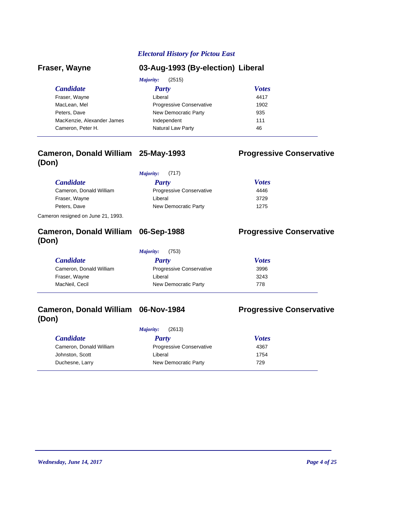| Fraser, Wayne              | 03-Aug-1993 (By-election) Liberal |              |  |
|----------------------------|-----------------------------------|--------------|--|
|                            | (2515)<br>Majority:               |              |  |
| <b>Candidate</b>           | Party                             | <b>Votes</b> |  |
| Fraser, Wayne              | Liberal                           | 4417         |  |
| MacLean, Mel               | <b>Progressive Conservative</b>   | 1902         |  |
| Peters, Dave               | New Democratic Party              | 935          |  |
| MacKenzie, Alexander James | Independent                       | 111          |  |
| Cameron, Peter H.          | Natural Law Party                 | 46           |  |

## **Cameron, Donald William (Don)**

|                         | Majority:<br>(717)              |              |
|-------------------------|---------------------------------|--------------|
| <i>Candidate</i>        | <b>Party</b>                    | <b>Votes</b> |
| Cameron, Donald William | <b>Progressive Conservative</b> | 4446         |
| Fraser, Wayne           | Liberal                         | 3729         |
| Peters, Dave            | New Democratic Party            | 1275         |

Cameron resigned on June 21, 1993.

## **Cameron, Donald William (Don)**

*Majority:* (753)

| <i>Candidate</i>        | Party                           | <b>Votes</b> |  |
|-------------------------|---------------------------------|--------------|--|
| Cameron, Donald William | <b>Progressive Conservative</b> | 3996         |  |
| Fraser, Wayne           | Liberal                         | 3243         |  |
| MacNeil, Cecil          | New Democratic Party            | 778          |  |

## **Cameron, Donald William (Don)**

*Majority:* (2613)

### *Candidate Party Votes* Cameron, Donald William Progressive Conservative 4367 Johnston, Scott 1754 Liberal Duchesne, Larry 729 New Democratic Party

## **Progressive Conservative**

**Progressive Conservative** 

**Progressive Conservative**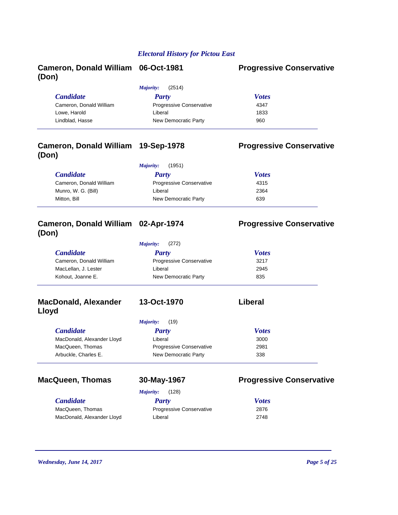## **Cameron, Donald William (Don)**

#### **Progressive Conservative**

| (2514)<br>Majority:             |              |  |  |
|---------------------------------|--------------|--|--|
| Party                           | <b>Votes</b> |  |  |
| <b>Progressive Conservative</b> | 4347         |  |  |
| Liberal                         | 1833         |  |  |
| New Democratic Party            | 960          |  |  |
|                                 |              |  |  |

## **Cameron, Donald William (Don)**

### **Progressive Conservative**

**Progressive Conservative** 

| (1951)<br>Majority:     |                                 |              |  |
|-------------------------|---------------------------------|--------------|--|
| <i>Candidate</i>        | Party                           | <b>Votes</b> |  |
| Cameron, Donald William | <b>Progressive Conservative</b> | 4315         |  |
| Munro, W. G. (Bill)     | Liberal                         | 2364         |  |
| Mitton, Bill            | New Democratic Party            | 639          |  |

## **Cameron, Donald William (Don)**

*Majority:* (272)

| <i>Candidate</i>        | Party                           | <b>Votes</b> |  |
|-------------------------|---------------------------------|--------------|--|
| Cameron, Donald William | <b>Progressive Conservative</b> | 3217         |  |
| MacLellan, J. Lester    | Liberal                         | 2945         |  |
| Kohout, Joanne E.       | New Democratic Party            | 835          |  |

### **MacDonald, Alexander Lloyd**

| (19)<br>Majority:               |              |
|---------------------------------|--------------|
| Party                           | <b>Votes</b> |
| Liberal                         | 3000         |
| <b>Progressive Conservative</b> | 2981         |
| New Democratic Party            | 338          |
|                                 |              |

## MacQueen, Thomas 30-May-1967 **Progressive Conservative**

*Majority:* (128)

| <b>Candidate</b>           | Party                           | <b>Votes</b> |
|----------------------------|---------------------------------|--------------|
| MacQueen, Thomas           | <b>Progressive Conservative</b> | 2876         |
| MacDonald, Alexander Lloyd | Liberal                         | 2748         |

**13-Oct-1970 Liberal**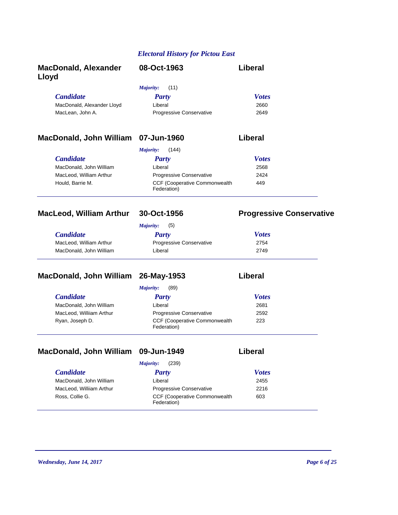| <b>MacDonald, Alexander</b><br>Lloyd | 08-Oct-1963                     | Liberal      |
|--------------------------------------|---------------------------------|--------------|
|                                      | (11)<br>Majority:               |              |
| <b>Candidate</b>                     | <b>Party</b>                    | <b>Votes</b> |
| MacDonald, Alexander Lloyd           | Liberal                         | 2660         |
| MacLean, John A.                     | <b>Progressive Conservative</b> | 2649         |
|                                      |                                 |              |
|                                      |                                 |              |

### **MacDonald, John William 07-Jun-1960 Liberal**

|                         | (144)<br>Majority:                                   |              |
|-------------------------|------------------------------------------------------|--------------|
| <i>Candidate</i>        | Party                                                | <b>Votes</b> |
| MacDonald, John William | Liberal                                              | 2568         |
| MacLeod, William Arthur | <b>Progressive Conservative</b>                      | 2424         |
| Hould. Barrie M.        | <b>CCF (Cooperative Commonwealth)</b><br>Federation) | 449          |

### MacLeod, William Arthur 30-Oct-1956 Progressive Conservative

## *Candidate Party Votes Majority:* (5) MacLeod, William Arthur Progressive Conservative 2754 MacDonald, John William 2749 Liberal

## **MacDonald, John William 26-May-1953 Liberal**

|                          | (89)<br><i>Majority:</i>                     |              |
|--------------------------|----------------------------------------------|--------------|
| <b>Candidate</b>         | Party                                        | <b>Votes</b> |
| MacDonald, John William  | Liberal                                      | 2681         |
| MacLeod, Williiam Arthur | Progressive Conservative                     | 2592         |
| Ryan, Joseph D.          | CCF (Cooperative Commonwealth<br>Federation) | 223          |

## **MacDonald, John William 09-Jun-1949 Liberal**

|                          | (239)<br>Majority:                                   |              |
|--------------------------|------------------------------------------------------|--------------|
| <i>Candidate</i>         | <b>Party</b>                                         | <b>Votes</b> |
| MacDonald, John William  | Liberal                                              | 2455         |
| MacLeod, Williiam Arthur | Progressive Conservative                             | 2216         |
| Ross, Collie G.          | <b>CCF (Cooperative Commonwealth)</b><br>Federation) | 603          |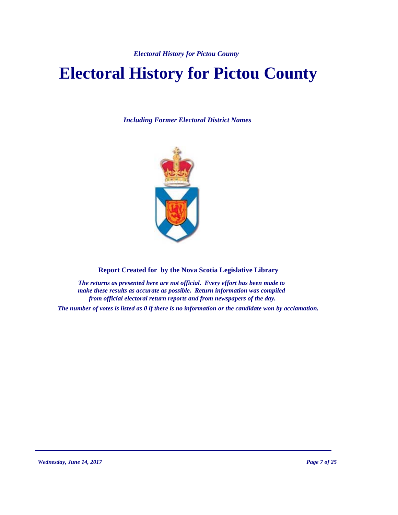# **Electoral History for Pictou County**

*Including Former Electoral District Names*



**Report Created for by the Nova Scotia Legislative Library**

*The returns as presented here are not official. Every effort has been made to make these results as accurate as possible. Return information was compiled from official electoral return reports and from newspapers of the day.*

*The number of votes is listed as 0 if there is no information or the candidate won by acclamation.*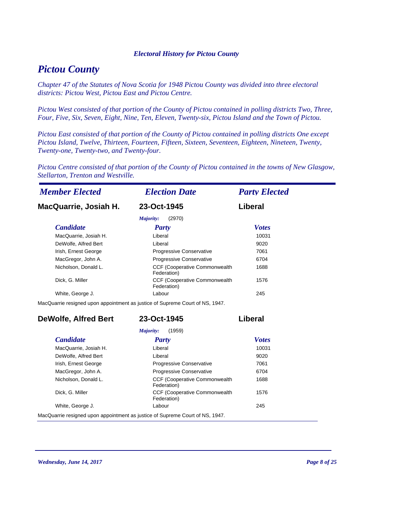## *Pictou County*

*Chapter 47 of the Statutes of Nova Scotia for 1948 Pictou County was divided into three electoral districts: Pictou West, Pictou East and Pictou Centre.* 

*Pictou West consisted of that portion of the County of Pictou contained in polling districts Two, Three, Four, Five, Six, Seven, Eight, Nine, Ten, Eleven, Twenty-six, Pictou Island and the Town of Pictou.*

*Pictou East consisted of that portion of the County of Pictou contained in polling districts One except Pictou Island, Twelve, Thirteen, Fourteen, Fifteen, Sixteen, Seventeen, Eighteen, Nineteen, Twenty, Twenty-one, Twenty-two, and Twenty-four.*

*Pictou Centre consisted of that portion of the County of Pictou contained in the towns of New Glasgow, Stellarton, Trenton and Westville.*

| <b>Member Elected</b>       | <b>Election Date</b>                                                          | <b>Party Elected</b> |
|-----------------------------|-------------------------------------------------------------------------------|----------------------|
| MacQuarrie, Josiah H.       | 23-Oct-1945                                                                   | <b>Liberal</b>       |
|                             | (2970)<br>Majority:                                                           |                      |
| <b>Candidate</b>            | <b>Party</b>                                                                  | <b>Votes</b>         |
| MacQuarrie, Josiah H.       | Liberal                                                                       | 10031                |
| DeWolfe, Alfred Bert        | Liberal                                                                       | 9020                 |
| Irish, Ernest George        | Progressive Conservative                                                      | 7061                 |
| MacGregor, John A.          | Progressive Conservative                                                      | 6704                 |
| Nicholson, Donald L.        | CCF (Cooperative Commonwealth<br>Federation)                                  | 1688                 |
| Dick, G. Miller             | CCF (Cooperative Commonwealth<br>Federation)                                  | 1576                 |
| White, George J.            | Labour                                                                        | 245                  |
|                             | MacQuarrie resigned upon appointment as justice of Supreme Court of NS, 1947. |                      |
| <b>DeWolfe, Alfred Bert</b> | 23-Oct-1945                                                                   | Liberal              |
|                             | (1959)<br>Majority:                                                           |                      |
| <b>Candidate</b>            | Party                                                                         | <b>Votes</b>         |
| MacQuarrie, Josiah H.       | Liberal                                                                       | 10031                |
| DeWolfe, Alfred Bert        | Liberal                                                                       | 9020                 |
| Irish, Ernest George        | Progressive Conservative                                                      | 7061                 |
| MacGregor, John A.          | Progressive Conservative                                                      | 6704                 |
| Nicholson, Donald L.        | CCF (Cooperative Commonwealth<br>Federation)                                  | 1688                 |
| Dick, G. Miller             | CCF (Cooperative Commonwealth<br>Federation)                                  | 1576                 |
| White, George J.            | Labour                                                                        | 245                  |

MacQuarrie resigned upon appointment as justice of Supreme Court of NS, 1947.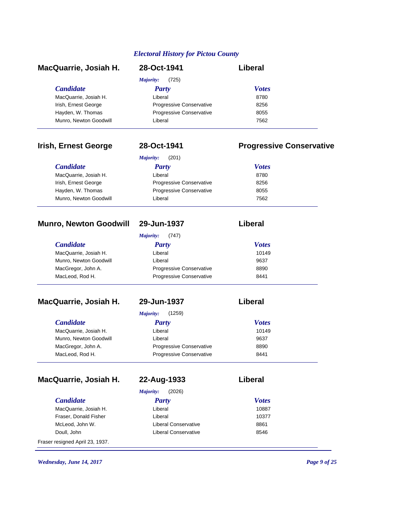| MacQuarrie, Josiah H.  | 28-Oct-1941                     | Liberal      |  |
|------------------------|---------------------------------|--------------|--|
|                        | (725)<br>Majority:              |              |  |
| <i>Candidate</i>       | Party                           | <b>Votes</b> |  |
| MacQuarrie, Josiah H.  | Liberal                         | 8780         |  |
| Irish, Ernest George   | <b>Progressive Conservative</b> | 8256         |  |
| Hayden, W. Thomas      | Progressive Conservative        | 8055         |  |
| Munro, Newton Goodwill | Liberal                         | 7562         |  |

## **Irish, Ernest George 28-Oct-1941 Progressive Conservative**

|                        | (201)<br>Majority:       |              |
|------------------------|--------------------------|--------------|
| <i>Candidate</i>       | <b>Party</b>             | <b>Votes</b> |
| MacQuarrie, Josiah H.  | Liberal                  | 8780         |
| Irish, Ernest George   | Progressive Conservative | 8256         |
| Hayden, W. Thomas      | Progressive Conservative | 8055         |
| Munro, Newton Goodwill | Liberal                  | 7562         |

## **Munro, Newton Goodwill 29-Jun-1937 Liberal**

|                        | (747)<br>Majority:              |              |
|------------------------|---------------------------------|--------------|
| <i>Candidate</i>       | Party                           | <b>Votes</b> |
| MacQuarrie, Josiah H.  | Liberal                         | 10149        |
| Munro, Newton Goodwill | Liberal                         | 9637         |
| MacGregor, John A.     | <b>Progressive Conservative</b> | 8890         |
| MacLeod, Rod H.        | <b>Progressive Conservative</b> | 8441         |

## **MacQuarrie, Josiah H. 29-Jun-1937 Liberal**

|                        | (1259)<br>Majority:      |              |
|------------------------|--------------------------|--------------|
| <i>Candidate</i>       | <b>Party</b>             | <b>Votes</b> |
| MacQuarrie, Josiah H.  | Liberal                  | 10149        |
| Munro, Newton Goodwill | Liberal                  | 9637         |
| MacGregor, John A.     | Progressive Conservative | 8890         |
| MacLeod, Rod H.        | Progressive Conservative | 8441         |
|                        |                          |              |

## **MacQuarrie, Josiah H. 22-Aug-1933 Liberal**

| 22-Aug-1933 |
|-------------|
|-------------|

| <b>Candidate</b>      | <b>Party</b>                | <b>Votes</b> |
|-----------------------|-----------------------------|--------------|
| MacQuarrie, Josiah H. | Liberal                     | 10887        |
| Fraser, Donald Fisher | Liberal                     | 10377        |
| McLeod, John W.       | Liberal Conservative        | 8861         |
| Doull, John           | <b>Liberal Conservative</b> | 8546         |

Fraser resigned April 23, 1937.

*Wednesday, June 14, 2017 Page 9 of 25*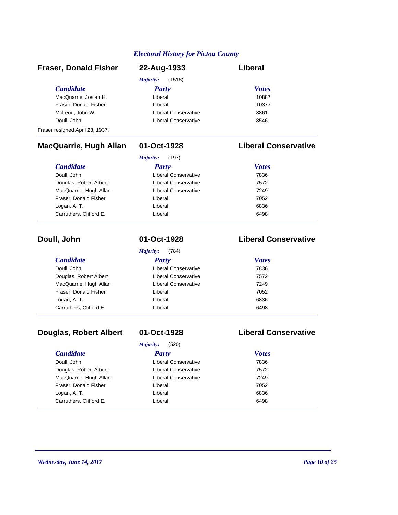| <b>Fraser, Donald Fisher</b>    | 22-Aug-1933                 | Liberal      |
|---------------------------------|-----------------------------|--------------|
|                                 | (1516)<br>Majority:         |              |
| <b>Candidate</b>                | <b>Party</b>                | <b>Votes</b> |
| MacQuarrie, Josiah H.           | Liberal                     | 10887        |
| Fraser, Donald Fisher           | Liberal                     | 10377        |
| McLeod, John W.                 | Liberal Conservative        | 8861         |
| Doull, John                     | <b>Liberal Conservative</b> | 8546         |
| Fraser resigned April 23, 1937. |                             |              |

## **MacQuarrie, Hugh Allan 01-Oct-1928 Liberal Conservative**

| <i>Candidate</i>        | Party                | <b>Votes</b> |
|-------------------------|----------------------|--------------|
| Doull, John             | Liberal Conservative | 7836         |
| Douglas, Robert Albert  | Liberal Conservative | 7572         |
| MacQuarrie, Hugh Allan  | Liberal Conservative | 7249         |
| Fraser, Donald Fisher   | Liberal              | 7052         |
| Logan, A. T.            | Liberal              | 6836         |
| Carruthers, Clifford E. | Liberal              | 6498         |

| Doull, John             | 01-Oct-1928          | <b>Liberal Conservative</b> |
|-------------------------|----------------------|-----------------------------|
|                         | (784)<br>Majority:   |                             |
| <b>Candidate</b>        | Party                | <b>Votes</b>                |
| Doull, John             | Liberal Conservative | 7836                        |
| Douglas, Robert Albert  | Liberal Conservative | 7572                        |
| MacQuarrie, Hugh Allan  | Liberal Conservative | 7249                        |
| Fraser, Donald Fisher   | Liberal              | 7052                        |
| Logan, A.T.             | Liberal              | 6836                        |
| Carruthers, Clifford E. | Liberal              | 6498                        |

## **Douglas, Robert Albert 01-Oct-1928 Liberal Conservative**

|                         | (520)<br>Majority:   |              |  |
|-------------------------|----------------------|--------------|--|
| <b>Candidate</b>        | <b>Party</b>         | <b>Votes</b> |  |
| Doull, John             | Liberal Conservative | 7836         |  |
| Douglas, Robert Albert  | Liberal Conservative | 7572         |  |
| MacQuarrie, Hugh Allan  | Liberal Conservative | 7249         |  |
| Fraser, Donald Fisher   | Liberal              | 7052         |  |
| Logan, A. T.            | Liberal              | 6836         |  |
| Carruthers, Clifford E. | Liberal              | 6498         |  |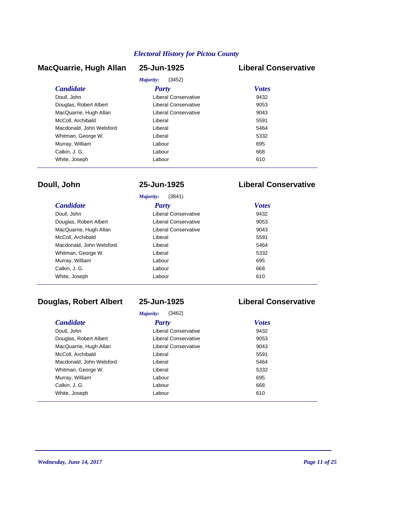## **MacQuarrie, Hugh Allan 25-Jun-1925 Liberal Conservative**

## $(2452)$

| <b>Party</b>         | <b>Votes</b>               |  |  |
|----------------------|----------------------------|--|--|
| Liberal Conservative | 9432                       |  |  |
| Liberal Conservative | 9053                       |  |  |
| Liberal Conservative | 9043                       |  |  |
| Liberal              | 5591                       |  |  |
| Liberal              | 5464                       |  |  |
| Liberal              | 5332                       |  |  |
| Labour               | 695                        |  |  |
| Labour               | 668                        |  |  |
| Labour               | 610                        |  |  |
|                      | <i>Majority:</i><br>(3452) |  |  |

## **Doull, John 25-Jun-1925 Liberal Conservative**

| (3841)<br>Majority:      |                      |              |  |
|--------------------------|----------------------|--------------|--|
| <i>Candidate</i>         | <b>Party</b>         | <b>Votes</b> |  |
| Doull, John              | Liberal Conservative | 9432         |  |
| Douglas, Robert Albert   | Liberal Conservative | 9053         |  |
| MacQuarrie, Hugh Allan   | Liberal Conservative | 9043         |  |
| McColl, Archibald        | Liberal              | 5591         |  |
| Macdonald, John Welsford | Liberal              | 5464         |  |
| Whitman, George W.       | Liberal              | 5332         |  |
| Murray, William          | Labour               | 695          |  |
| Calkin, J. G.            | Labour               | 668          |  |
| White, Joseph            | Labour               | 610          |  |

## **Douglas, Robert Albert 25-Jun-1925 Liberal Conservative**

| (3462)<br>Majority:      |                      |              |
|--------------------------|----------------------|--------------|
| <i>Candidate</i>         | Party                | <b>Votes</b> |
| Doull, John              | Liberal Conservative | 9432         |
| Douglas, Robert Albert   | Liberal Conservative | 9053         |
| MacQuarrie, Hugh Allan   | Liberal Conservative | 9043         |
| McColl, Archibald        | Liberal              | 5591         |
| Macdonald, John Welsford | Liberal              | 5464         |
| Whitman, George W.       | Liberal              | 5332         |
| Murray, William          | Labour               | 695          |
| Calkin, J. G.            | Labour               | 668          |
| White, Joseph            | Labour               | 610          |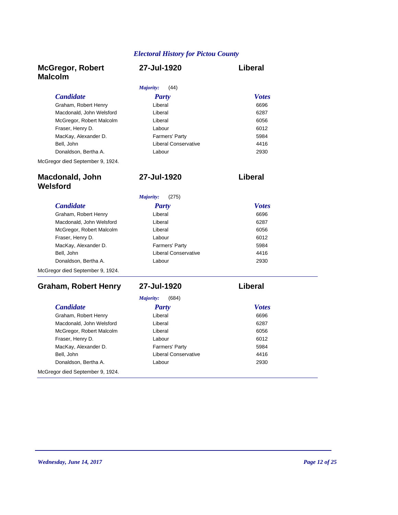**27-Jul-1920 Liberal**

## **McGregor, Robert Malcolm**

### **27-Jul-1920 Liberal**

| (44)<br>Majority:        |                             |              |
|--------------------------|-----------------------------|--------------|
| <b>Candidate</b>         | <b>Party</b>                | <b>Votes</b> |
| Graham, Robert Henry     | Liberal                     | 6696         |
| Macdonald, John Welsford | Liberal                     | 6287         |
| McGregor, Robert Malcolm | Liberal                     | 6056         |
| Fraser, Henry D.         | Labour                      | 6012         |
| MacKay, Alexander D.     | Farmers' Party              | 5984         |
| Bell, John               | <b>Liberal Conservative</b> | 4416         |
| Donaldson, Bertha A.     | Labour                      | 2930         |
|                          |                             |              |

McGregor died September 9, 1924.

## **Macdonald, John Welsford**

| (275)<br>Majority:               |                       |              |  |
|----------------------------------|-----------------------|--------------|--|
| <b>Candidate</b>                 | Party                 | <b>Votes</b> |  |
| Graham, Robert Henry             | Liberal               | 6696         |  |
| Macdonald, John Welsford         | Liberal               | 6287         |  |
| McGregor, Robert Malcolm         | Liberal               | 6056         |  |
| Fraser, Henry D.                 | Labour                | 6012         |  |
| MacKay, Alexander D.             | <b>Farmers' Party</b> | 5984         |  |
| Bell, John                       | Liberal Conservative  | 4416         |  |
| Donaldson, Bertha A.             | Labour                | 2930         |  |
| McGregor died September 9, 1924. |                       |              |  |

### **Graham, Robert Henry 27-Jul-1920 Liberal**

Graham, Robert Henry **668 Liberal** Macdonald, John Welsford **6287 Liberal** McGregor, Robert Malcolm 6056 Liberal Fraser, Henry D. 6012 Labour MacKay, Alexander D. 5984 Farmers' Party Bell, John Liberal Conservative Donaldson, Bertha A. 2930 Labour

McGregor died September 9, 1924.

*Majority:* (684)

| <b>Candidate</b>         | <b>Party</b>                | <b>Votes</b> |
|--------------------------|-----------------------------|--------------|
| Graham, Robert Henry     | Liberal                     | 6696         |
| Macdonald, John Welsford | Liberal                     | 6287         |
| McGregor, Robert Malcolm | Liberal                     | 6056         |
| Fraser, Henry D.         | Labour                      | 6012         |
| MacKay, Alexander D.     | Farmers' Party              | 5984         |
| Bell, John               | <b>Liberal Conservative</b> | 4416         |
| Donaldson, Bertha A.     | Labour                      | 2930         |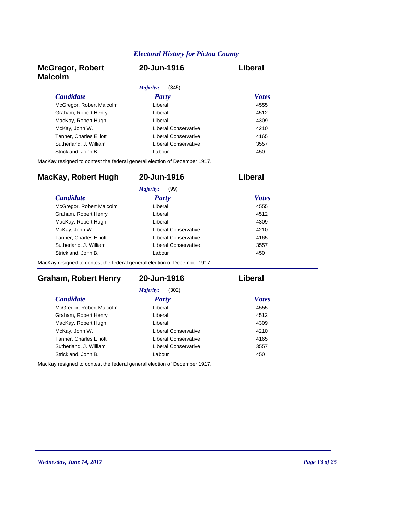### **McGregor, Robert Malcolm**

## **20-Jun-1916 Liberal**

| (345)<br><i>Majority:</i> |              |
|---------------------------|--------------|
| <b>Party</b>              | <b>Votes</b> |
| Liberal                   | 4555         |
| Liberal                   | 4512         |
| Liberal                   | 4309         |
| Liberal Conservative      | 4210         |
| Liberal Conservative      | 4165         |
| Liberal Conservative      | 3557         |
| Labour                    | 450          |
|                           |              |

MacKay resigned to contest the federal general election of December 1917.

| <b>Candidate</b>               | Party                | <b>Votes</b> |
|--------------------------------|----------------------|--------------|
|                                |                      |              |
| McGregor, Robert Malcolm       | Liberal              | 4555         |
| Graham, Robert Henry           | Liberal              | 4512         |
| MacKay, Robert Hugh            | Liberal              | 4309         |
| McKay, John W.                 | Liberal Conservative | 4210         |
| <b>Tanner, Charles Elliott</b> | Liberal Conservative | 4165         |
| Sutherland, J. William         | Liberal Conservative | 3557         |
| Strickland, John B.            | I abour              | 450          |

**MacKay, Robert Hugh 20-Jun-1916 Liberal**

MacKay resigned to contest the federal general election of December 1917.

### **Graham, Robert Henry 20-Jun-1916 Liberal**

| Majority:<br>(302)                                                        |                      |              |  |
|---------------------------------------------------------------------------|----------------------|--------------|--|
| <i>Candidate</i>                                                          | <b>Party</b>         | <b>Votes</b> |  |
| McGregor, Robert Malcolm                                                  | Liberal              | 4555         |  |
| Graham, Robert Henry                                                      | Liberal              | 4512         |  |
| MacKay, Robert Hugh                                                       | Liberal              | 4309         |  |
| McKay, John W.                                                            | Liberal Conservative | 4210         |  |
| <b>Tanner, Charles Elliott</b>                                            | Liberal Conservative | 4165         |  |
| Sutherland, J. William                                                    | Liberal Conservative | 3557         |  |
| Strickland, John B.                                                       | Labour               | 450          |  |
| MacKay resigned to contest the federal general election of December 1917. |                      |              |  |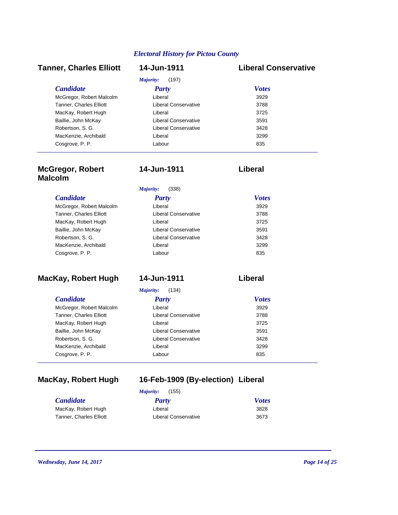### **Tanner, Charles Elliott 14-Jun-1911 Liberal Conservative**

#### $(107)$

| Party                | <b>Votes</b> |
|----------------------|--------------|
| Liberal              | 3929         |
| Liberal Conservative | 3788         |
| Liberal              | 3725         |
| Liberal Conservative | 3591         |
| Liberal Conservative | 3428         |
| Liberal              | 3299         |
| Labour               | 835          |
|                      |              |

## **McGregor, Robert Malcolm**

## **14-Jun-1911 Liberal**

*Majority:* (338)

| <b>Candidate</b>         | <b>Party</b>         | <b>Votes</b> |
|--------------------------|----------------------|--------------|
| McGregor, Robert Malcolm | Liberal              | 3929         |
| Tanner, Charles Elliott  | Liberal Conservative | 3788         |
| MacKay, Robert Hugh      | Liberal              | 3725         |
| Baillie, John McKay      | Liberal Conservative | 3591         |
| Robertson, S. G.         | Liberal Conservative | 3428         |
| MacKenzie, Archibald     | Liberal              | 3299         |
| Cosgrove, P. P.          | Labour               | 835          |
|                          |                      |              |

## **MacKay, Robert Hugh 14-Jun-1911 Liberal**

*Majority:* (134)

| $1/2$ $1/2$ $1/2$ $1/2$ $1/2$  |                             |              |  |
|--------------------------------|-----------------------------|--------------|--|
| <b>Candidate</b>               | <b>Party</b>                | <b>Votes</b> |  |
| McGregor, Robert Malcolm       | Liberal                     | 3929         |  |
| <b>Tanner, Charles Elliott</b> | Liberal Conservative        | 3788         |  |
| MacKay, Robert Hugh            | Liberal                     | 3725         |  |
| Baillie, John McKay            | <b>Liberal Conservative</b> | 3591         |  |
| Robertson, S. G.               | <b>Liberal Conservative</b> | 3428         |  |
| MacKenzie, Archibald           | Liberal                     | 3299         |  |
| Cosgrove, P. P.                | Labour                      | 835          |  |
|                                |                             |              |  |

## **MacKay, Robert Hugh 16-Feb-1909 (By-election) Liberal**

| Majority: | (155) |  |
|-----------|-------|--|
| Party     |       |  |

| <b>Candidate</b>        | Party                | <b>Votes</b> |
|-------------------------|----------------------|--------------|
| MacKay, Robert Hugh     | Liberal              | 3828         |
| Tanner, Charles Elliott | Liberal Conservative | 3673         |

*Wednesday, June 14, 2017 Page 14 of 25*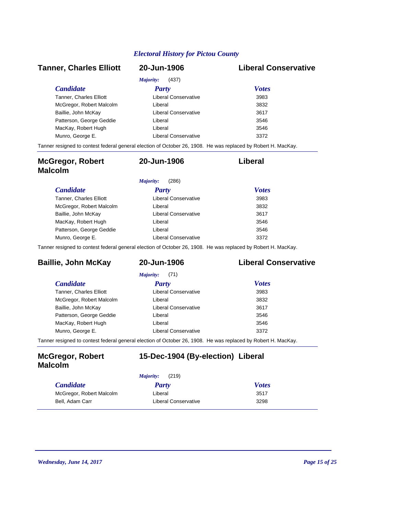## *Candidate Party Votes* **Tanner, Charles Elliott 20-Jun-1906 Liberal Conservative** *Majority:* (437) Tanner, Charles Elliott **1988** Liberal Conservative 3983 McGregor, Robert Malcolm 3832 Liberal Baillie, John McKay **3617** Liberal Conservative 3617 Patterson, George Geddie **3546** Liberal **Communist Communist Communist Communist Communist Communist Communist Communist Communist Communist Communist Communist Communist Communist Communist Communist Communist Communist C** MacKay, Robert Hugh **3546** Liberal **Communist Liberal** Munro, George E. **3372** Liberal Conservative **Conservative** 3372 Tanner resigned to contest federal general election of October 26, 1908. He was replaced by Robert H. MacKay.

| <b>McGregor, Robert</b><br><b>Malcolm</b> | 20-Jun-1906          | Liberal      |
|-------------------------------------------|----------------------|--------------|
|                                           | Majority:<br>(286)   |              |
| <i>Candidate</i>                          | Party                | <b>Votes</b> |
| Tanner, Charles Elliott                   | Liberal Conservative | 3983         |
| McGregor, Robert Malcolm                  | Liberal              | 3832         |
| Baillie, John McKay                       | Liberal Conservative | 3617         |
| MacKay, Robert Hugh                       | Liberal              | 3546         |
| Patterson, George Geddie                  | Liberal              | 3546         |
| Munro, George E.                          | Liberal Conservative | 3372         |

Tanner resigned to contest federal general election of October 26, 1908. He was replaced by Robert H. MacKay.

## **Baillie, John McKay 20-Jun-1906 Liberal Conservative**

|                                | (71)<br>Majority:    |              |
|--------------------------------|----------------------|--------------|
| <i>Candidate</i>               | <b>Party</b>         | <b>Votes</b> |
| <b>Tanner, Charles Elliott</b> | Liberal Conservative | 3983         |
| McGregor, Robert Malcolm       | Liberal              | 3832         |
| Baillie, John McKay            | Liberal Conservative | 3617         |
| Patterson, George Geddie       | Liberal              | 3546         |
| MacKay, Robert Hugh            | Liberal              | 3546         |
| Munro, George E.               | Liberal Conservative | 3372         |
|                                |                      |              |

Tanner resigned to contest federal general election of October 26, 1908. He was replaced by Robert H. MacKay.

### **McGregor, Robert Malcolm**

### **15-Dec-1904 (By-election) Liberal**

|                          | (219)<br>Majority:   |              |
|--------------------------|----------------------|--------------|
| <i><b>Candidate</b></i>  | Party                | <b>Votes</b> |
| McGregor, Robert Malcolm | Liberal              | 3517         |
| Bell, Adam Carr          | Liberal Conservative | 3298         |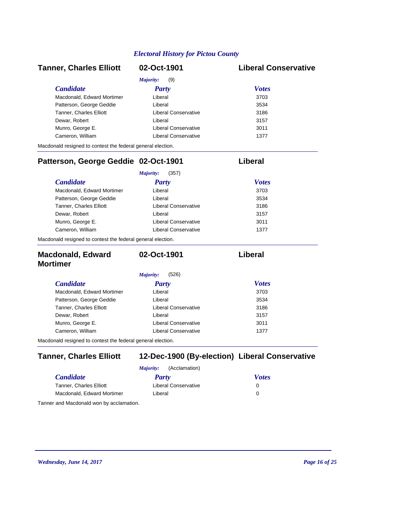| <b>Tanner, Charles Elliott</b>                              | 02-Oct-1901                 | <b>Liberal Conservative</b> |
|-------------------------------------------------------------|-----------------------------|-----------------------------|
|                                                             | Majority:<br>(9)            |                             |
| <b>Candidate</b>                                            | Party                       | <b>Votes</b>                |
| Macdonald, Edward Mortimer                                  | Liberal                     | 3703                        |
| Patterson, George Geddie                                    | Liberal                     | 3534                        |
| <b>Tanner, Charles Elliott</b>                              | <b>Liberal Conservative</b> | 3186                        |
| Dewar, Robert                                               | Liberal                     | 3157                        |
| Munro, George E.                                            | <b>Liberal Conservative</b> | 3011                        |
| Cameron, William                                            | <b>Liberal Conservative</b> | 1377                        |
| Macdonald resigned to contest the federal general election. |                             |                             |
| Patterson, George Geddie 02-Oct-1901                        |                             | Liberal                     |
|                                                             | Majority:<br>(357)          |                             |
| <b>Candidate</b>                                            | <b>Party</b>                | <b>Votes</b>                |
| Macdonald, Edward Mortimer                                  | Liberal                     | 3703                        |
| Patterson, George Geddie                                    | Liberal                     | 3534                        |
| <b>Tanner, Charles Elliott</b>                              | <b>Liberal Conservative</b> | 3186                        |
| Dewar, Robert                                               | Liberal                     | 3157                        |
| Munro, George E.                                            | <b>Liberal Conservative</b> | 3011                        |
| Cameron, William                                            | <b>Liberal Conservative</b> | 1377                        |
| Macdonald resigned to contest the federal general election. |                             |                             |
| <b>Macdonald, Edward</b><br><b>Mortimer</b>                 | 02-Oct-1901                 | Liberal                     |
|                                                             | (526)<br>Majority:          |                             |
| <b>Candidate</b>                                            | <b>Party</b>                | <b>Votes</b>                |
| Macdonald, Edward Mortimer                                  | Liberal                     | 3703                        |
| Patterson, George Geddie                                    | Liberal                     | 3534                        |
| Tanner, Charles Elliott                                     | <b>Liberal Conservative</b> | 3186                        |
| Dewar, Robert                                               | Liberal                     | 3157                        |
| Munro, George E.                                            | <b>Liberal Conservative</b> | 3011                        |
| Cameron, William                                            | <b>Liberal Conservative</b> | 1377                        |
| Macdonald resigned to contest the federal general election. |                             |                             |
|                                                             |                             |                             |

## **Tanner, Charles Elliott 12-Dec-1900 (By-election) Liberal Conservative**

|                                          | (Acclamation)<br><i>Majority:</i> |              |
|------------------------------------------|-----------------------------------|--------------|
| <i>Candidate</i>                         | Party                             | <b>Votes</b> |
| <b>Tanner, Charles Elliott</b>           | Liberal Conservative              | 0            |
| Macdonald, Edward Mortimer               | Liberal                           | 0            |
| Tanner and Macdonald won by acclamation. |                                   |              |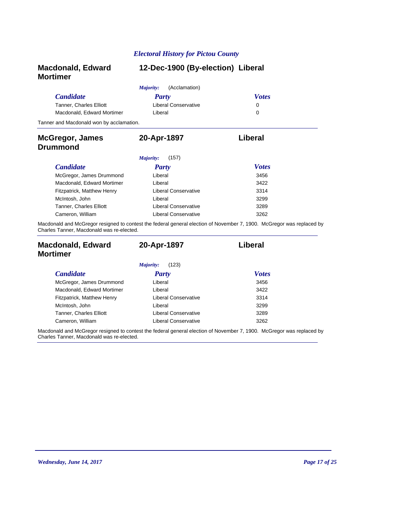| <b>Macdonald, Edward</b><br><b>Mortimer</b> | 12-Dec-1900 (By-election) Liberal |                                                                                                                       |
|---------------------------------------------|-----------------------------------|-----------------------------------------------------------------------------------------------------------------------|
|                                             | (Acclamation)<br>Majority:        |                                                                                                                       |
| <b>Candidate</b>                            | Party                             | <b>Votes</b>                                                                                                          |
| Tanner, Charles Elliott                     | Liberal Conservative              | 0                                                                                                                     |
| Macdonald, Edward Mortimer                  | Liberal                           | 0                                                                                                                     |
| Tanner and Macdonald won by acclamation.    |                                   |                                                                                                                       |
| <b>McGregor, James</b>                      | 20-Apr-1897                       | Liberal                                                                                                               |
| Drummond                                    |                                   |                                                                                                                       |
|                                             | (157)<br>Majority:                |                                                                                                                       |
| <b>Candidate</b>                            | <b>Party</b>                      | <b>Votes</b>                                                                                                          |
| McGregor, James Drummond                    | Liberal                           | 3456                                                                                                                  |
| Macdonald, Edward Mortimer                  | Liberal                           | 3422                                                                                                                  |
| Fitzpatrick, Matthew Henry                  | Liberal Conservative              | 3314                                                                                                                  |
| McIntosh, John                              | Liberal                           | 3299                                                                                                                  |
| <b>Tanner, Charles Elliott</b>              | Liberal Conservative              | 3289                                                                                                                  |
| Cameron, William                            | Liberal Conservative              | 3262                                                                                                                  |
| Charles Tanner, Macdonald was re-elected.   |                                   | Macdonald and McGregor resigned to contest the federal general election of November 7, 1900. McGregor was replaced by |

| <b>Macdonald, Edward</b><br><b>Mortimer</b> | 20-Apr-1897          | Liberal      |
|---------------------------------------------|----------------------|--------------|
|                                             | (123)<br>Majority:   |              |
| <i>Candidate</i>                            | <b>Party</b>         | <b>Votes</b> |
| McGregor, James Drummond                    | Liberal              | 3456         |
| Macdonald, Edward Mortimer                  | Liberal              | 3422         |
| Fitzpatrick, Matthew Henry                  | Liberal Conservative | 3314         |
| McIntosh, John                              | Liberal              | 3299         |
| Tanner, Charles Elliott                     | Liberal Conservative | 3289         |
| Cameron, William                            | Liberal Conservative | 3262         |

Macdonald and McGregor resigned to contest the federal general election of November 7, 1900. McGregor was replaced by Charles Tanner, Macdonald was re-elected.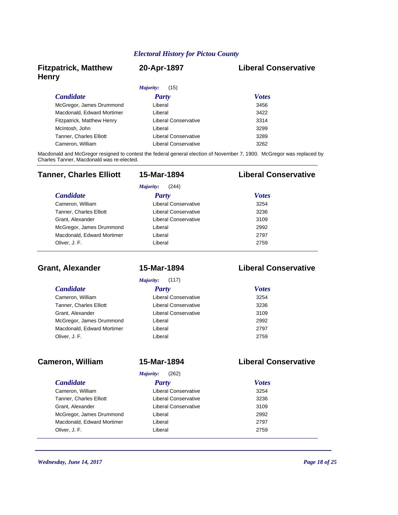## **Fitzpatrick, Matthew Henry**

#### **20-Apr-1897 Liberal Conservative**

| (15)<br>Majority:              |                      |              |  |
|--------------------------------|----------------------|--------------|--|
| <i>Candidate</i>               | Party                | <b>Votes</b> |  |
| McGregor, James Drummond       | Liberal              | 3456         |  |
| Macdonald, Edward Mortimer     | Liberal              | 3422         |  |
| Fitzpatrick, Matthew Henry     | Liberal Conservative | 3314         |  |
| McIntosh, John                 | Liberal              | 3299         |  |
| <b>Tanner, Charles Elliott</b> | Liberal Conservative | 3289         |  |
| Cameron, William               | Liberal Conservative | 3262         |  |

Macdonald and McGregor resigned to contest the federal general election of November 7, 1900. McGregor was replaced by Charles Tanner, Macdonald was re-elected.

| <b>Tanner, Charles Elliott</b> | 15-Mar-1894          | <b>Liberal Conservative</b> |
|--------------------------------|----------------------|-----------------------------|
|                                | (244)<br>Majority:   |                             |
| <b>Candidate</b>               | Party                | <b>Votes</b>                |
| Cameron, William               | Liberal Conservative | 3254                        |
| <b>Tanner, Charles Elliott</b> | Liberal Conservative | 3236                        |
| Grant, Alexander               | Liberal Conservative | 3109                        |
| McGregor, James Drummond       | Liberal              | 2992                        |
| Macdonald, Edward Mortimer     | Liberal              | 2797                        |
| Oliver, J. F.                  | Liberal              | 2759                        |

## **Grant, Alexander 15-Mar-1894 Liberal Conservative**

*Majority:* (117)

| <b>Candidate</b>               | <b>Party</b>         | <b>Votes</b> |
|--------------------------------|----------------------|--------------|
| Cameron, William               | Liberal Conservative | 3254         |
| <b>Tanner, Charles Elliott</b> | Liberal Conservative | 3236         |
| Grant, Alexander               | Liberal Conservative | 3109         |
| McGregor, James Drummond       | Liberal              | 2992         |
| Macdonald, Edward Mortimer     | Liberal              | 2797         |
| Oliver, J. F.                  | Liberal              | 2759         |

#### **Cameron, William 15-Mar-1894 Liberal Conservative**

#### *Majority:* (262)

#### *Candidate Party Votes* Cameron, William 3254 Liberal Conservative Tanner, Charles Elliott 3236 Liberal Conservative Grant, Alexander **3109** Liberal Conservative 3109 McGregor, James Drummond 2992 Liberal Macdonald, Edward Mortimer Liberal Liberal 2797

# Oliver, J. F. 2759

*Wednesday, June 14, 2017 Page 18 of 25*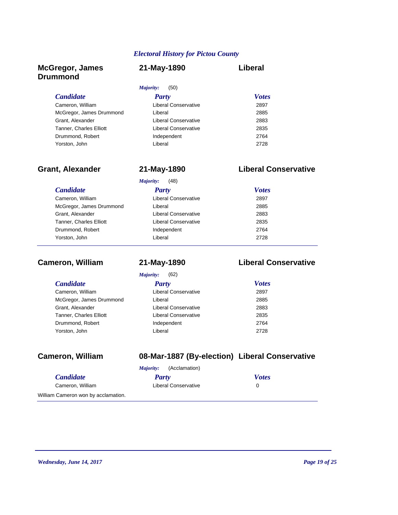### **McGregor, James Drummond**

| 21-May-1890 | Liberal |
|-------------|---------|
|-------------|---------|

| (50)<br>Majority:    |              |  |  |
|----------------------|--------------|--|--|
| <b>Party</b>         | <b>Votes</b> |  |  |
| Liberal Conservative | 2897         |  |  |
| Liberal              | 2885         |  |  |
| Liberal Conservative | 2883         |  |  |
| Liberal Conservative | 2835         |  |  |
| Independent          | 2764         |  |  |
| Liberal              | 2728         |  |  |
|                      |              |  |  |

## **Grant, Alexander 21-May-1890 Liberal Conservative**

| <i>Candidate</i>               | <b>Party</b>         | <b>Votes</b> |
|--------------------------------|----------------------|--------------|
| Cameron, William               | Liberal Conservative | 2897         |
| McGregor, James Drummond       | Liberal              | 2885         |
| Grant, Alexander               | Liberal Conservative | 2883         |
| <b>Tanner, Charles Elliott</b> | Liberal Conservative | 2835         |
| Drummond, Robert               | Independent          | 2764         |
| Yorston, John                  | Liberal              | 2728         |

## **Cameron, William 21-May-1890 Liberal Conservative**

*Majority:* (62)

| <i>Candidate</i>               | Party                       | <b>Votes</b> |
|--------------------------------|-----------------------------|--------------|
| Cameron, William               | <b>Liberal Conservative</b> | 2897         |
| McGregor, James Drummond       | Liberal                     | 2885         |
| Grant, Alexander               | <b>Liberal Conservative</b> | 2883         |
| <b>Tanner, Charles Elliott</b> | <b>Liberal Conservative</b> | 2835         |
| Drummond, Robert               | Independent                 | 2764         |
| Yorston, John                  | Liberal                     | 2728         |

## **Cameron, William 08-Mar-1887 (By-election) Liberal Conservative**

|                  |       | <i>Majority:</i> (Acclamation) |              |
|------------------|-------|--------------------------------|--------------|
| <b>Candidate</b> | Party |                                | <b>Votes</b> |
| Cameron, William |       | Liberal Conservative           | $\mathbf{0}$ |
| $\sim$           |       |                                |              |

William Cameron won by acclamation.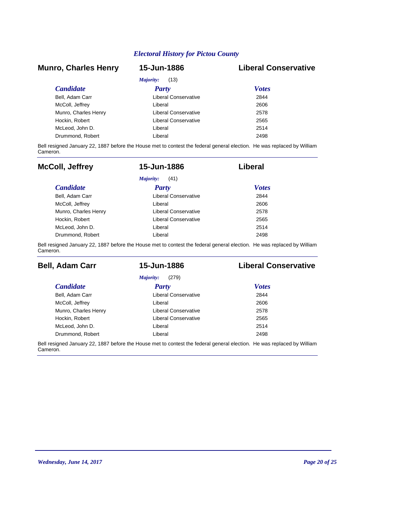#### **Munro, Charles Henry 15-Jun-1886 Liberal Conservative**

| Majority:<br>(13)    |                      |              |  |  |
|----------------------|----------------------|--------------|--|--|
| <i>Candidate</i>     | Party                | <b>Votes</b> |  |  |
| Bell. Adam Carr      | Liberal Conservative | 2844         |  |  |
| McColl, Jeffrey      | Liberal              | 2606         |  |  |
| Munro, Charles Henry | Liberal Conservative | 2578         |  |  |
| Hockin, Robert       | Liberal Conservative | 2565         |  |  |
| McLeod. John D.      | Liberal              | 2514         |  |  |
| Drummond, Robert     | Liberal              | 2498         |  |  |

Bell resigned January 22, 1887 before the House met to contest the federal general election. He was replaced by William Cameron.

| <b>McColl, Jeffrey</b> | 15-Jun-1886          | Liberal      |
|------------------------|----------------------|--------------|
|                        | Majority:<br>(41)    |              |
| <b>Candidate</b>       | Party                | <b>Votes</b> |
| Bell, Adam Carr        | Liberal Conservative | 2844         |
| McColl, Jeffrey        | I iberal             | 2606         |
| Munro, Charles Henry   | Liberal Conservative | 2578         |
| Hockin, Robert         | Liberal Conservative | 2565         |
| McLeod. John D.        | Liberal              | 2514         |
| Drummond, Robert       | Liberal              | 2498         |

Bell resigned January 22, 1887 before the House met to contest the federal general election. He was replaced by William Cameron.

| <b>Bell, Adam Carr</b> | 15-Jun-1886          | <b>Liberal Conservative</b> |
|------------------------|----------------------|-----------------------------|
|                        | (279)<br>Majority:   |                             |
| <i>Candidate</i>       | Party                | <b>Votes</b>                |
| Bell, Adam Carr        | Liberal Conservative | 2844                        |
| McColl, Jeffrey        | Liberal              | 2606                        |
| Munro, Charles Henry   | Liberal Conservative | 2578                        |
| Hockin, Robert         | Liberal Conservative | 2565                        |
| McLeod, John D.        | Liberal              | 2514                        |
| Drummond, Robert       | Liberal              | 2498                        |

Bell resigned January 22, 1887 before the House met to contest the federal general election. He was replaced by William Cameron.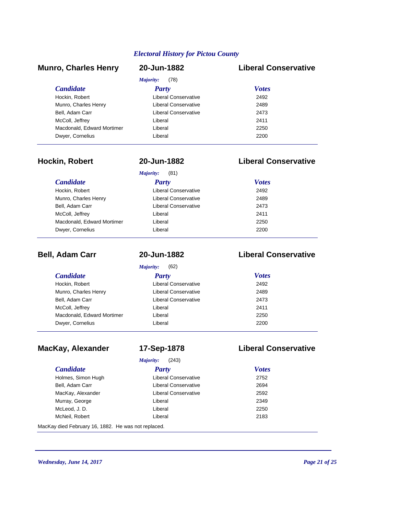#### *Candidate Party Votes* **Munro, Charles Henry 20-Jun-1882 Liberal Conservative** *Majority:* (78) Hockin, Robert **Liberal Conservative** 2492 Munro, Charles Henry 2489 Liberal Conservative Bell, Adam Carr 2473 Liberal Conservative McColl, Jeffrey **Liberal** Liberal 2411 Macdonald, Edward Mortimer **2250** Liberal Dwyer, Cornelius 2200 Liberal

#### **Hockin, Robert 20-Jun-1882 Liberal Conservative**

|                            | (81)<br>Majority:           |              |  |
|----------------------------|-----------------------------|--------------|--|
| <i>Candidate</i>           | Party                       | <b>Votes</b> |  |
| Hockin, Robert             | Liberal Conservative        | 2492         |  |
| Munro, Charles Henry       | Liberal Conservative        | 2489         |  |
| Bell, Adam Carr            | <b>Liberal Conservative</b> | 2473         |  |
| McColl, Jeffrey            | Liberal                     | 2411         |  |
| Macdonald, Edward Mortimer | Liberal                     | 2250         |  |
| Dwyer, Cornelius           | Liberal                     | 2200         |  |
|                            |                             |              |  |

| <b>Bell, Adam Carr</b>     | 20-Jun-1882                 | <b>Liberal Conservative</b> |
|----------------------------|-----------------------------|-----------------------------|
|                            | (62)<br>Majority:           |                             |
| <b>Candidate</b>           | Party                       | <b>Votes</b>                |
| Hockin, Robert             | Liberal Conservative        | 2492                        |
| Munro, Charles Henry       | Liberal Conservative        | 2489                        |
| Bell, Adam Carr            | <b>Liberal Conservative</b> | 2473                        |
| McColl, Jeffrey            | Liberal                     | 2411                        |
| Macdonald, Edward Mortimer | Liberal                     | 2250                        |
| Dwyer, Cornelius           | Liberal                     | 2200                        |

## **MacKay, Alexander 17-Sep-1878 Liberal Conservative**

*Majority:* (243)

### *Candidate Party Votes* Holmes, Simon Hugh 2752 Liberal Conservative Bell, Adam Carr 2694 Liberal Conservative MacKay, Alexander 2592 Liberal Conservative Murray, George **2349** Liberal **Communist Except** Liberal McLeod, J. D. Liberal 2250 McNeil, Robert 2183

MacKay died February 16, 1882. He was not replaced.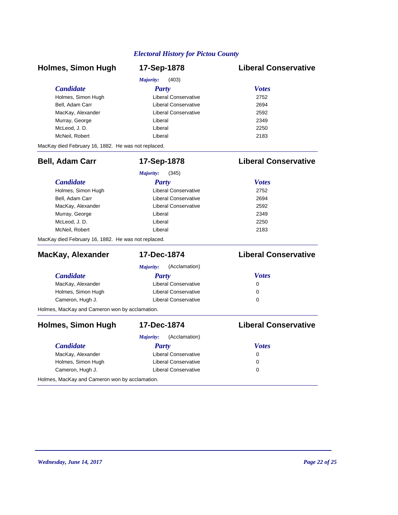| <b>Holmes, Simon Hugh</b>                           | 17-Sep-1878                 | <b>Liberal Conservative</b> |
|-----------------------------------------------------|-----------------------------|-----------------------------|
|                                                     | (403)<br>Majority:          |                             |
| <b>Candidate</b>                                    | Party                       | <b>Votes</b>                |
| Holmes, Simon Hugh                                  | <b>Liberal Conservative</b> | 2752                        |
| Bell, Adam Carr                                     | <b>Liberal Conservative</b> | 2694                        |
| MacKay, Alexander                                   | <b>Liberal Conservative</b> | 2592                        |
| Murray, George                                      | Liberal                     | 2349                        |
| McLeod, J.D.                                        | Liberal                     | 2250                        |
| McNeil, Robert                                      | Liberal                     | 2183                        |
| MacKay died February 16, 1882. He was not replaced. |                             |                             |
| <b>Bell, Adam Carr</b>                              | 17-Sep-1878                 | <b>Liberal Conservative</b> |
|                                                     | Majority:<br>(345)          |                             |
| <b>Candidate</b>                                    | <b>Party</b>                | <b>Votes</b>                |
| Holmes, Simon Hugh                                  | <b>Liberal Conservative</b> | 2752                        |
| Bell, Adam Carr                                     | <b>Liberal Conservative</b> | 2694                        |
| MacKay, Alexander                                   | <b>Liberal Conservative</b> | 2592                        |
| Murray, George                                      | Liberal                     | 2349                        |
| McLeod, J.D.                                        | Liberal                     | 2250                        |
| McNeil, Robert                                      | Liberal                     | 2183                        |
| MacKay died February 16, 1882. He was not replaced. |                             |                             |
| MacKay, Alexander                                   | 17-Dec-1874                 | <b>Liberal Conservative</b> |
|                                                     | Majority:<br>(Acclamation)  |                             |
| <b>Candidate</b>                                    | Party                       | <b>Votes</b>                |
| MacKay, Alexander                                   | <b>Liberal Conservative</b> | 0                           |
| Holmes, Simon Hugh                                  | <b>Liberal Conservative</b> | $\Omega$                    |
| Cameron, Hugh J.                                    | <b>Liberal Conservative</b> | $\Omega$                    |
| Holmes, MacKay and Cameron won by acclamation.      |                             |                             |
| <b>Holmes, Simon Hugh</b>                           | 17-Dec-1874                 | <b>Liberal Conservative</b> |
|                                                     | (Acclamation)<br>Majority:  |                             |
| <b>Candidate</b>                                    | Party                       | <b>Votes</b>                |
| MacKay, Alexander                                   | <b>Liberal Conservative</b> | 0                           |
| Holmes, Simon Hugh                                  | <b>Liberal Conservative</b> | $\Omega$                    |
| Cameron, Hugh J.                                    | <b>Liberal Conservative</b> | $\Omega$                    |
| Holmes, MacKay and Cameron won by acclamation.      |                             |                             |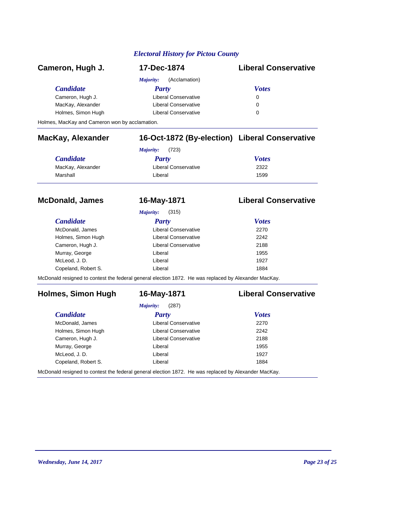| Cameron, Hugh J.   | 17-Dec-1874                 | <b>Liberal Conservative</b> |
|--------------------|-----------------------------|-----------------------------|
|                    | (Acclamation)<br>Majority:  |                             |
| <b>Candidate</b>   | Party                       | <b>Votes</b>                |
| Cameron, Hugh J.   | <b>Liberal Conservative</b> | 0                           |
| MacKay, Alexander  | <b>Liberal Conservative</b> | 0                           |
| Holmes, Simon Hugh | <b>Liberal Conservative</b> | 0                           |
| .                  |                             |                             |

Holmes, MacKay and Cameron won by acclamation.

## **MacKay, Alexander 16-Oct-1872 (By-election) Liberal Conservative**

| <i>Majority:</i> (723) |                             |              |
|------------------------|-----------------------------|--------------|
| <b>Candidate</b>       | Party                       | <b>Votes</b> |
| MacKay, Alexander      | <b>Liberal Conservative</b> | 2322         |
| Marshall               | Liberal                     | 1599         |

| <b>McDonald, James</b> | 16-May-1871          | <b>Liberal Conservative</b> |
|------------------------|----------------------|-----------------------------|
|                        | (315)<br>Majority:   |                             |
| <b>Candidate</b>       | Party                | <b>Votes</b>                |
| McDonald, James        | Liberal Conservative | 2270                        |
| Holmes, Simon Hugh     | Liberal Conservative | 2242                        |
| Cameron, Hugh J.       | Liberal Conservative | 2188                        |
| Murray, George         | Liberal              | 1955                        |
| McLeod, J. D.          | Liberal              | 1927                        |
| Copeland, Robert S.    | Liberal              | 1884                        |

McDonald resigned to contest the federal general election 1872. He was replaced by Alexander MacKay.

### **Holmes, Simon Hugh 16-May-1871 Liberal Conservative**

*Majority:* (287)

| <b>Candidate</b>                                                                                     | Party                       | <b>Votes</b> |
|------------------------------------------------------------------------------------------------------|-----------------------------|--------------|
| McDonald, James                                                                                      | <b>Liberal Conservative</b> | 2270         |
| Holmes, Simon Hugh                                                                                   | Liberal Conservative        | 2242         |
| Cameron, Hugh J.                                                                                     | <b>Liberal Conservative</b> | 2188         |
| Murray, George                                                                                       | Liberal                     | 1955         |
| McLeod, J.D.                                                                                         | Liberal                     | 1927         |
| Copeland, Robert S.                                                                                  | Liberal                     | 1884         |
| McDonald resigned to contest the federal general election 1872. He was replaced by Alexander MacKay. |                             |              |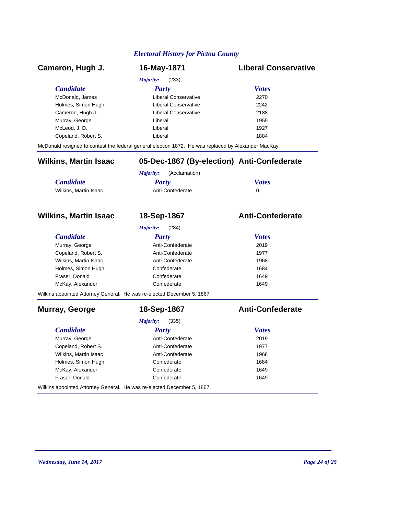| Cameron, Hugh J.                                                        | 16-May-1871                                                                                          | <b>Liberal Conservative</b> |
|-------------------------------------------------------------------------|------------------------------------------------------------------------------------------------------|-----------------------------|
|                                                                         | Majority:<br>(233)                                                                                   |                             |
| <b>Candidate</b>                                                        | Party                                                                                                | <b>Votes</b>                |
| McDonald, James                                                         | <b>Liberal Conservative</b>                                                                          | 2270                        |
| Holmes, Simon Hugh                                                      | <b>Liberal Conservative</b>                                                                          | 2242                        |
| Cameron, Hugh J.                                                        | <b>Liberal Conservative</b>                                                                          | 2188                        |
| Murray, George                                                          | Liberal                                                                                              | 1955                        |
| McLeod, J.D.                                                            | Liberal                                                                                              | 1927                        |
| Copeland, Robert S.                                                     | Liberal                                                                                              | 1884                        |
|                                                                         | McDonald resigned to contest the federal general election 1872. He was replaced by Alexander MacKay. |                             |
| <b>Wilkins, Martin Isaac</b>                                            | 05-Dec-1867 (By-election) Anti-Confederate                                                           |                             |
|                                                                         | (Acclamation)<br>Majority:                                                                           |                             |
| <b>Candidate</b>                                                        | <b>Party</b>                                                                                         | <b>Votes</b>                |
| Wilkins, Martin Isaac                                                   | Anti-Confederate                                                                                     | $\Omega$                    |
| <b>Candidate</b><br>Murray, George                                      | Majority:<br>(284)<br>Party<br>Anti-Confederate                                                      | <b>Votes</b><br>2019        |
|                                                                         |                                                                                                      |                             |
| Copeland, Robert S.                                                     | Anti-Confederate                                                                                     | 1977                        |
| Wilkins, Martin Isaac                                                   | Anti-Confederate                                                                                     | 1968                        |
|                                                                         | Confederate                                                                                          | 1684                        |
| Holmes, Simon Hugh                                                      |                                                                                                      |                             |
| Fraser, Donald                                                          | Confederate                                                                                          | 1649                        |
| McKay, Alexander                                                        | Confederate                                                                                          | 1649                        |
| Wilkins apoointed Attorney General. He was re-elected December 5, 1867. |                                                                                                      |                             |
| Murray, George                                                          | 18-Sep-1867                                                                                          | <b>Anti-Confederate</b>     |
|                                                                         | (335)<br>Majority:                                                                                   |                             |
| <b>Candidate</b>                                                        | Party                                                                                                | <b>Votes</b>                |
| Murray, George                                                          | Anti-Confederate                                                                                     | 2019                        |
| Copeland, Robert S.                                                     | Anti-Confederate                                                                                     | 1977                        |
| Wilkins, Martin Isaac                                                   | Anti-Confederate                                                                                     | 1968                        |
| Holmes, Simon Hugh                                                      | Confederate                                                                                          | 1684                        |
| McKay, Alexander<br>Fraser, Donald                                      | Confederate<br>Confederate                                                                           | 1649<br>1649                |